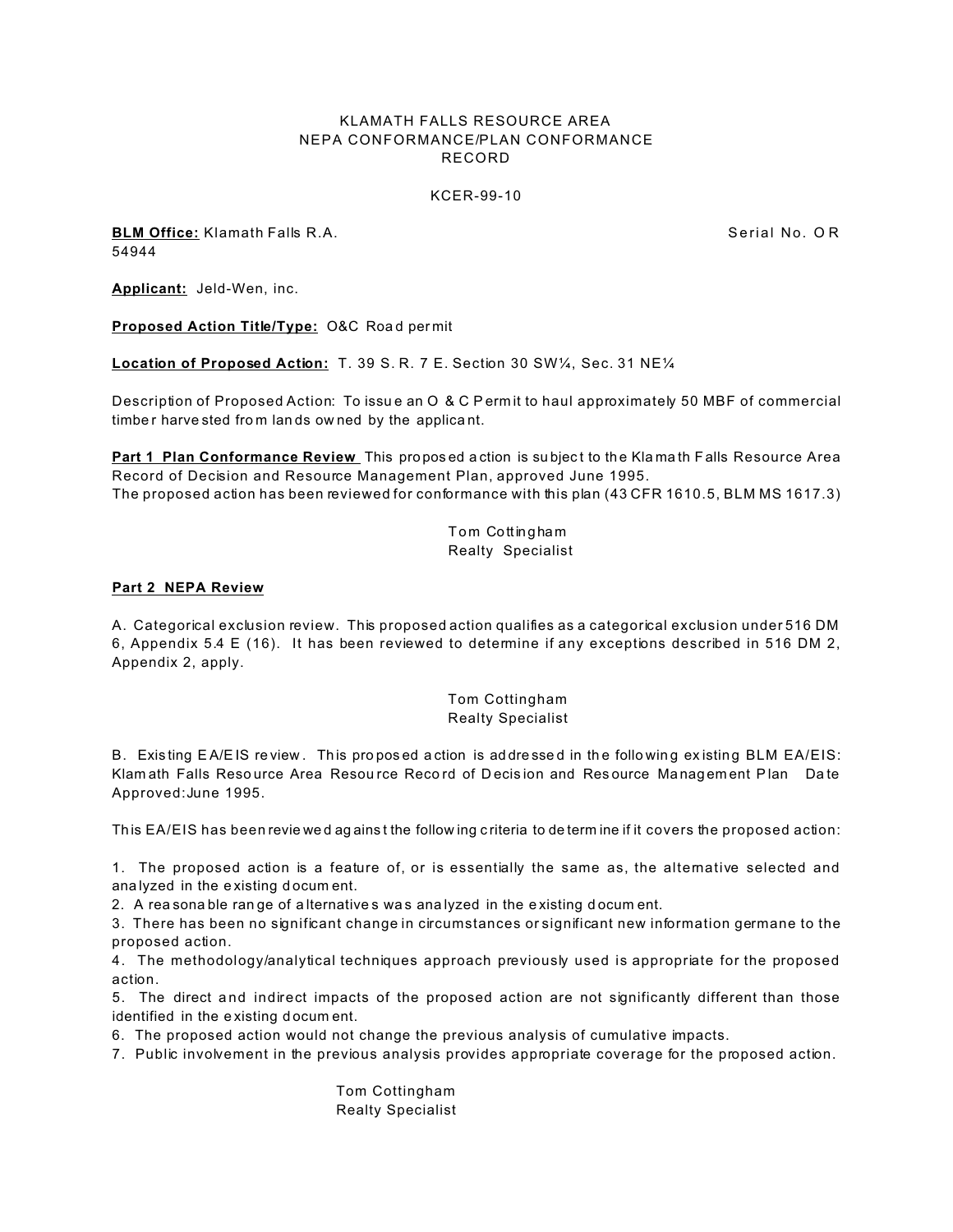## KLAMATH FALLS RESOURCE AREA NEPA CONFORMANCE/PLAN CONFORMANCE RECORD

### KCER-99-10

**BLM Office:** Klamath Falls R.A. Serial No. O R Serial No. O R 54944

**Applicant:** Jeld-Wen, inc.

**Proposed Action Title/Type: O&C Road permit** 

**Location of Proposed Action:** T. 39 S. R. 7 E. Section 30 SW¼, Sec. 31 NE¼

Description of Proposed Action: To issu e an O & C P erm it to haul approximately 50 MBF of commercial timbe r harve sted fro m lan ds ow ned by the applica nt.

**Part 1 Plan Conformance Review** This proposed action is subject to the Klamath Falls Resource Area Record of Decision and Resource Management Plan, approved June 1995. The proposed action has been reviewed for conformance with this plan (43 CFR 1610.5, BLM MS 1617.3)

> Tom Cottingham Realty Specialist

### **Part 2 NEPA Review**

A. Categorical exclusion review. This proposed action qualifies as a categorical exclusion under 516 DM 6, Appendix 5.4 E (16). It has been reviewed to determine if any exceptions described in 516 DM 2, Appendix 2, apply.

# Tom Cottingham Realty Specialist

B. Existing EA/EIS re view. This proposed action is addressed in the following existing BLM EA/EIS: Klam ath Falls Resource Area Resource Record of Decision and Resource Management Plan Date Approved:June 1995.

This EA/EIS has been revie wed ag ainst the follow ing criteria to determ ine if it covers the proposed action:

1. The proposed action is a feature of, or is essentially the same as, the alternative selected and ana lyzed in the e xisting d ocum ent.

2. A rea sona ble ran ge of a lternatives was ana lyzed in the existing docum ent.

3. There has been no significant change in circumstances or significant new information germane to the proposed action.

4. The methodology/analytical techniques approach previously used is appropriate for the proposed action.

5. The direct a nd indirect impacts of the proposed action are not significantly different than those identified in the e xisting d ocum ent.

6. The proposed action would not change the previous analysis of cumulative impacts.

7. Public involvement in the previous analysis provides appropriate coverage for the proposed action.

Tom Cottingham Realty Specialist